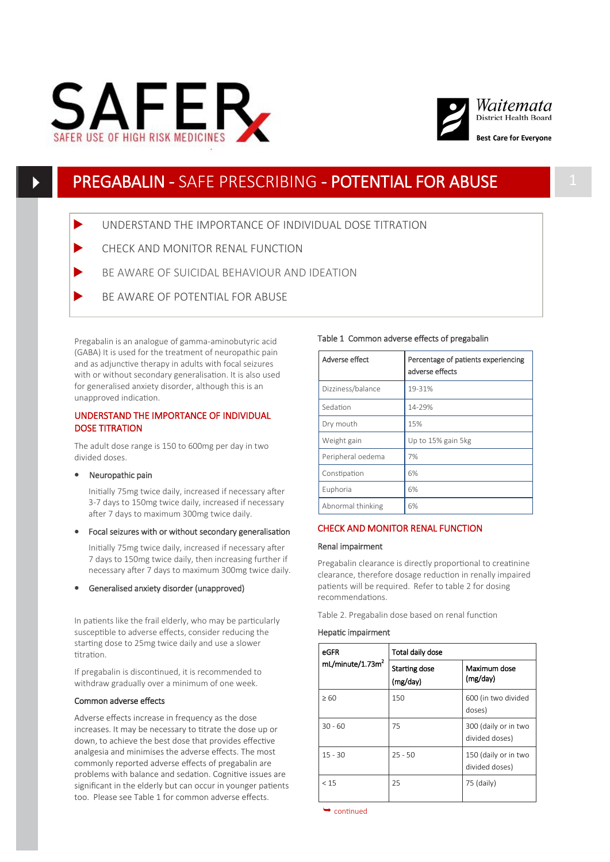



# PREGABALIN - SAFE PRESCRIBING - POTENTIAL FOR ABUSE

UNDERSTAND THE IMPORTANCE OF INDIVIDUAL DOSE TITRATION

- CHECK AND MONITOR RENAL FUNCTION
- BE AWARE OF SUICIDAL BEHAVIOUR AND IDEATION
- BE AWARE OF POTENTIAL FOR ABUSE

Pregabalin is an analogue of gamma-aminobutyric acid (GABA) It is used for the treatment of neuropathic pain and as adjunctive therapy in adults with focal seizures with or without secondary generalisation. It is also used for generalised anxiety disorder, although this is an unapproved indication.

# UNDERSTAND THE IMPORTANCE OF INDIVIDUAL DOSE TITRATION

The adult dose range is 150 to 600mg per day in two divided doses.

## • Neuropathic pain

Initially 75mg twice daily, increased if necessary after 3-7 days to 150mg twice daily, increased if necessary after 7 days to maximum 300mg twice daily.

Focal seizures with or without secondary generalisation

Initially 75mg twice daily, increased if necessary after 7 days to 150mg twice daily, then increasing further if necessary after 7 days to maximum 300mg twice daily.

Generalised anxiety disorder (unapproved)

In patients like the frail elderly, who may be particularly susceptible to adverse effects, consider reducing the starting dose to 25mg twice daily and use a slower titration.

If pregabalin is discontinued, it is recommended to withdraw gradually over a minimum of one week.

#### Common adverse effects

Adverse effects increase in frequency as the dose increases. It may be necessary to titrate the dose up or down, to achieve the best dose that provides effective analgesia and minimises the adverse effects. The most commonly reported adverse effects of pregabalin are problems with balance and sedation. Cognitive issues are significant in the elderly but can occur in younger patients too. Please see Table 1 for common adverse effects.

#### Table 1 Common adverse effects of pregabalin

| Adverse effect    | Percentage of patients experiencing<br>adverse effects |
|-------------------|--------------------------------------------------------|
| Dizziness/balance | 19-31%                                                 |
| Sedation          | 14-29%                                                 |
| Dry mouth         | 15%                                                    |
| Weight gain       | Up to 15% gain 5kg                                     |
| Peripheral oedema | 7%                                                     |
| Constipation      | 6%                                                     |
| Euphoria          | 6%                                                     |
| Abnormal thinking | 6%                                                     |

## CHECK AND MONITOR RENAL FUNCTION

#### Renal impairment

Pregabalin clearance is directly proportional to creatinine clearance, therefore dosage reduction in renally impaired patients will be required. Refer to table 2 for dosing recommendations.

Table 2. Pregabalin dose based on renal function

## Hepatic impairment

| eGFR                         | Total daily dose          |                                        |
|------------------------------|---------------------------|----------------------------------------|
| mL/minute/1.73m <sup>2</sup> | Starting dose<br>(mg/day) | Maximum dose<br>(mg/day)               |
| >60                          | 150                       | 600 (in two divided<br>doses)          |
| $30 - 60$                    | 75                        | 300 (daily or in two<br>divided doses) |
| $15 - 30$                    | $25 - 50$                 | 150 (daily or in two<br>divided doses) |
| < 15                         | 25                        | 75 (daily)                             |

 $\rightarrow$  continued